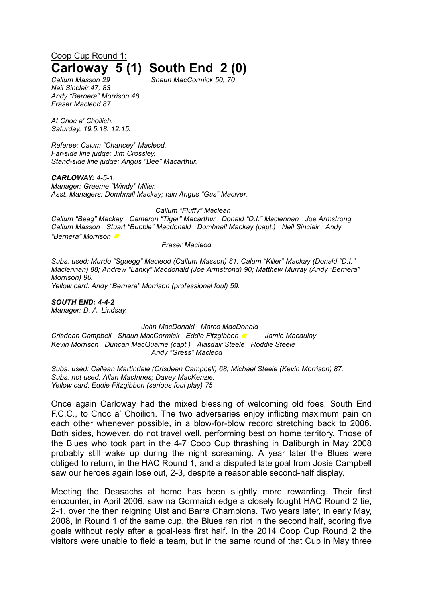## Coop Cup Round 1: **Carloway 5 (1) South End 2 (0)**

*Callum Masson 29 Shaun MacCormick 50, 70 Neil Sinclair 47, 83 Andy "Bernera" Morrison 48 Fraser Macleod 87*

*At Cnoc a' Choilich. Saturday, 19.5.18. 12.15.*

*Referee: Calum "Chancey" Macleod. Far-side line judge: Jim Crossley. Stand-side line judge: Angus "Dee" Macarthur.*

*CARLOWAY: 4-5-1.*

*Manager: Graeme "Windy" Miller. Asst. Managers: Domhnall Mackay; Iain Angus "Gus" Maciver.*

*Callum "Fluffy" Maclean*

*Callum "Beag" Mackay Cameron "Tiger" Macarthur Donald "D.I." Maclennan Joe Armstrong Callum Masson Stuart "Bubble" Macdonald Domhnall Mackay (capt.) Neil Sinclair Andy "Bernera" Morrison <sup>◼</sup>*

*Fraser Macleod*

*Subs. used: Murdo "Sguegg" Macleod (Callum Masson) 81; Calum "Killer" Mackay (Donald "D.I." Maclennan) 88; Andrew "Lanky" Macdonald (Joe Armstrong) 90; Matthew Murray (Andy "Bernera" Morrison) 90. Yellow card: Andy "Bernera" Morrison (professional foul) 59.*

*SOUTH END: 4-4-2 Manager: D. A. Lindsay.*

*John MacDonald Marco MacDonald Crisdean Campbell Shaun MacCormick Eddie Fitzgibbon <sup>◼</sup> Jamie Macaulay Kevin Morrison Duncan MacQuarrie (capt.) Alasdair Steele Roddie Steele Andy "Gress" Macleod*

*Subs. used: Cailean Martindale (Crisdean Campbell) 68; Michael Steele (Kevin Morrison) 87. Subs. not used: Allan MacInnes; Davey MacKenzie. Yellow card: Eddie Fitzgibbon (serious foul play) 75*

Once again Carloway had the mixed blessing of welcoming old foes, South End F.C.C., to Cnoc a' Choilich. The two adversaries enjoy inflicting maximum pain on each other whenever possible, in a blow-for-blow record stretching back to 2006. Both sides, however, do not travel well, performing best on home territory. Those of the Blues who took part in the 4-7 Coop Cup thrashing in Daliburgh in May 2008 probably still wake up during the night screaming. A year later the Blues were obliged to return, in the HAC Round 1, and a disputed late goal from Josie Campbell saw our heroes again lose out, 2-3, despite a reasonable second-half display.

Meeting the Deasachs at home has been slightly more rewarding. Their first encounter, in April 2006, saw na Gormaich edge a closely fought HAC Round 2 tie, 2-1, over the then reigning Uist and Barra Champions. Two years later, in early May, 2008, in Round 1 of the same cup, the Blues ran riot in the second half, scoring five goals without reply after a goal-less first half. In the 2014 Coop Cup Round 2 the visitors were unable to field a team, but in the same round of that Cup in May three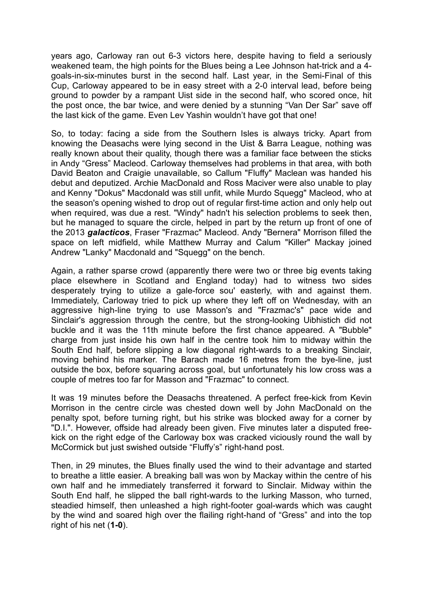years ago, Carloway ran out 6-3 victors here, despite having to field a seriously weakened team, the high points for the Blues being a Lee Johnson hat-trick and a 4 goals-in-six-minutes burst in the second half. Last year, in the Semi-Final of this Cup, Carloway appeared to be in easy street with a 2-0 interval lead, before being ground to powder by a rampant Uist side in the second half, who scored once, hit the post once, the bar twice, and were denied by a stunning "Van Der Sar" save off the last kick of the game. Even Lev Yashin wouldn't have got that one!

So, to today: facing a side from the Southern Isles is always tricky. Apart from knowing the Deasachs were lying second in the Uist & Barra League, nothing was really known about their quality, though there was a familiar face between the sticks in Andy "Gress" Macleod. Carloway themselves had problems in that area, with both David Beaton and Craigie unavailable, so Callum "Fluffy" Maclean was handed his debut and deputized. Archie MacDonald and Ross Maciver were also unable to play and Kenny "Dokus" Macdonald was still unfit, while Murdo Squegg" Macleod, who at the season's opening wished to drop out of regular first-time action and only help out when required, was due a rest. "Windy" hadn't his selection problems to seek then, but he managed to square the circle, helped in part by the return up front of one of the 2013 *galacticos*, Fraser "Frazmac" Macleod. Andy "Bernera" Morrison filled the space on left midfield, while Matthew Murray and Calum "Killer" Mackay joined Andrew "Lanky" Macdonald and "Squegg" on the bench.

Again, a rather sparse crowd (apparently there were two or three big events taking place elsewhere in Scotland and England today) had to witness two sides desperately trying to utilize a gale-force sou' easterly, with and against them. Immediately, Carloway tried to pick up where they left off on Wednesday, with an aggressive high-line trying to use Masson's and "Frazmac's" pace wide and Sinclair's aggression through the centre, but the strong-looking Uibhistich did not buckle and it was the 11th minute before the first chance appeared. A "Bubble" charge from just inside his own half in the centre took him to midway within the South End half, before slipping a low diagonal right-wards to a breaking Sinclair, moving behind his marker. The Barach made 16 metres from the bye-line, just outside the box, before squaring across goal, but unfortunately his low cross was a couple of metres too far for Masson and "Frazmac" to connect.

It was 19 minutes before the Deasachs threatened. A perfect free-kick from Kevin Morrison in the centre circle was chested down well by John MacDonald on the penalty spot, before turning right, but his strike was blocked away for a corner by "D.I.". However, offside had already been given. Five minutes later a disputed freekick on the right edge of the Carloway box was cracked viciously round the wall by McCormick but just swished outside "Fluffy's" right-hand post.

Then, in 29 minutes, the Blues finally used the wind to their advantage and started to breathe a little easier. A breaking ball was won by Mackay within the centre of his own half and he immediately transferred it forward to Sinclair. Midway within the South End half, he slipped the ball right-wards to the lurking Masson, who turned, steadied himself, then unleashed a high right-footer goal-wards which was caught by the wind and soared high over the flailing right-hand of "Gress" and into the top right of his net (**1-0**).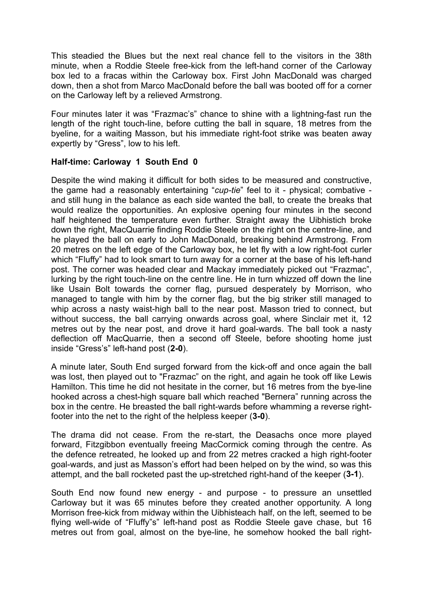This steadied the Blues but the next real chance fell to the visitors in the 38th minute, when a Roddie Steele free-kick from the left-hand corner of the Carloway box led to a fracas within the Carloway box. First John MacDonald was charged down, then a shot from Marco MacDonald before the ball was booted off for a corner on the Carloway left by a relieved Armstrong.

Four minutes later it was "Frazmac's" chance to shine with a lightning-fast run the length of the right touch-line, before cutting the ball in square, 18 metres from the byeline, for a waiting Masson, but his immediate right-foot strike was beaten away expertly by "Gress", low to his left.

## **Half-time: Carloway 1 South End 0**

Despite the wind making it difficult for both sides to be measured and constructive, the game had a reasonably entertaining "*cup-tie*" feel to it - physical; combative and still hung in the balance as each side wanted the ball, to create the breaks that would realize the opportunities. An explosive opening four minutes in the second half heightened the temperature even further. Straight away the Uibhistich broke down the right, MacQuarrie finding Roddie Steele on the right on the centre-line, and he played the ball on early to John MacDonald, breaking behind Armstrong. From 20 metres on the left edge of the Carloway box, he let fly with a low right-foot curler which "Fluffy" had to look smart to turn away for a corner at the base of his left-hand post. The corner was headed clear and Mackay immediately picked out "Frazmac", lurking by the right touch-line on the centre line. He in turn whizzed off down the line like Usain Bolt towards the corner flag, pursued desperately by Morrison, who managed to tangle with him by the corner flag, but the big striker still managed to whip across a nasty waist-high ball to the near post. Masson tried to connect, but without success, the ball carrying onwards across goal, where Sinclair met it, 12 metres out by the near post, and drove it hard goal-wards. The ball took a nasty deflection off MacQuarrie, then a second off Steele, before shooting home just inside "Gress's" left-hand post (**2-0**).

A minute later, South End surged forward from the kick-off and once again the ball was lost, then played out to "Frazmac" on the right, and again he took off like Lewis Hamilton. This time he did not hesitate in the corner, but 16 metres from the bye-line hooked across a chest-high square ball which reached "Bernera" running across the box in the centre. He breasted the ball right-wards before whamming a reverse rightfooter into the net to the right of the helpless keeper (**3-0**).

The drama did not cease. From the re-start, the Deasachs once more played forward, Fitzgibbon eventually freeing MacCormick coming through the centre. As the defence retreated, he looked up and from 22 metres cracked a high right-footer goal-wards, and just as Masson's effort had been helped on by the wind, so was this attempt, and the ball rocketed past the up-stretched right-hand of the keeper (**3-1**).

South End now found new energy - and purpose - to pressure an unsettled Carloway but it was 65 minutes before they created another opportunity. A long Morrison free-kick from midway within the Uibhisteach half, on the left, seemed to be flying well-wide of "Fluffy"s" left-hand post as Roddie Steele gave chase, but 16 metres out from goal, almost on the bye-line, he somehow hooked the ball right